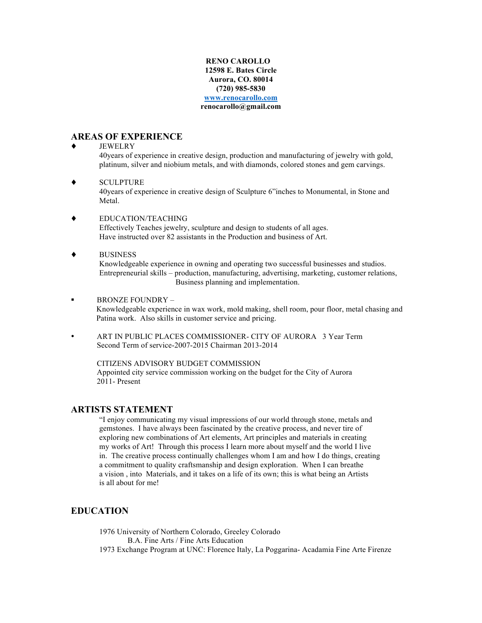#### **RENO CAROLLO 12598 E. Bates Circle Aurora, CO. 80014 (720) 985-5830 www.renocarollo.com renocarollo@gmail.com**

### **AREAS OF EXPERIENCE**

#### **JEWELRY**

40years of experience in creative design, production and manufacturing of jewelry with gold, platinum, silver and niobium metals, and with diamonds, colored stones and gem carvings.

**SCULPTURE** 

40years of experience in creative design of Sculpture 6"inches to Monumental, in Stone and Metal.

- EDUCATION/TEACHING Effectively Teaches jewelry, sculpture and design to students of all ages. Have instructed over 82 assistants in the Production and business of Art.
- **BUSINESS**

Knowledgeable experience in owning and operating two successful businesses and studios. Entrepreneurial skills – production, manufacturing, advertising, marketing, customer relations, Business planning and implementation.

- ! BRONZE FOUNDRY Knowledgeable experience in wax work, mold making, shell room, pour floor, metal chasing and Patina work. Also skills in customer service and pricing.
- ART IN PUBLIC PLACES COMMISSIONER- CITY OF AURORA 3 Year Term Second Term of service-2007-2015 Chairman 2013-2014

 CITIZENS ADVISORY BUDGET COMMISSION Appointed city service commission working on the budget for the City of Aurora 2011- Present

#### **ARTISTS STATEMENT**

"I enjoy communicating my visual impressions of our world through stone, metals and gemstones. I have always been fascinated by the creative process, and never tire of exploring new combinations of Art elements, Art principles and materials in creating my works of Art! Through this process I learn more about myself and the world I live in. The creative process continually challenges whom I am and how I do things, creating a commitment to quality craftsmanship and design exploration. When I can breathe a vision , into Materials, and it takes on a life of its own; this is what being an Artists is all about for me!

## **EDUCATION**

1976 University of Northern Colorado, Greeley Colorado B.A. Fine Arts / Fine Arts Education 1973 Exchange Program at UNC: Florence Italy, La Poggarina- Acadamia Fine Arte Firenze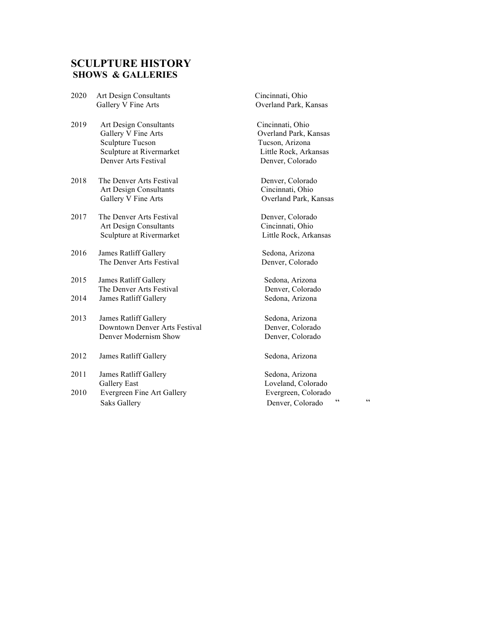## **SCULPTURE HISTORY SHOWS & GALLERIES**

- 2020 Art Design Consultants Cincinnati, Ohio Gallery V Fine Arts **Overland Park**, Kansas
- 2019 Art Design Consultants Cincinnati, Ohio Gallery V Fine Arts **Overland Park, Kansas**<br>
Sculpture Tucson **Overland Park**, Kansas<br>
Tucson, Arizona Sculpture Tucson Sculpture at Rivermarket Little Rock, Arkansas Denver Arts Festival Denver, Colorado
- 2018 The Denver Arts Festival Denver, Colorado Art Design Consultants Cincinnati, Ohio Gallery V Fine Arts **Overland Park**, Kansas
- 2017 The Denver Arts Festival Denver, Colorado Art Design Consultants Cincinnati, Ohio Sculpture at Rivermarket Little Rock, Arkansas
- 2016 James Ratliff Gallery Sedona, Arizona The Denver Arts Festival Denver, Colorado
- 2015 James Ratliff Gallery Sedona, Arizona The Denver Arts Festival **1986** Denver, Colorado<br>
2014 James Ratliff Gallery Sedona, Arizona
- 2013 James Ratliff Gallery Sedona, Arizona Downtown Denver Arts Festival Denver, Colorado Denver Modernism Show Denver, Colorado
- 2012 James Ratliff Gallery Sedona, Arizona
- 2011 James Ratliff Gallery Sedona, Arizona Gallery East Loveland, Colorado
- Saks Gallery Denver, Colorado " "

**2015 James Ratliff Gallery Sedona, Arizona** 

2010 Evergreen Fine Art Gallery Evergreen, Colorado